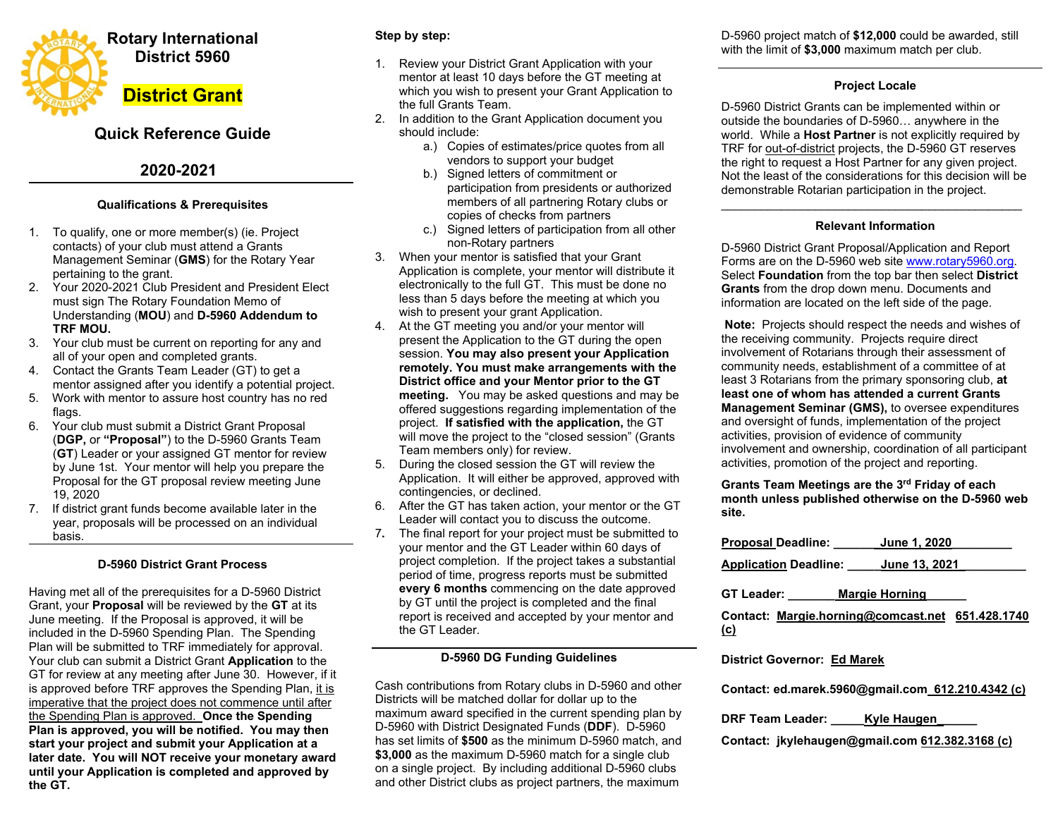

# **Quick Reference Guide**

# **2020-2021**

## **Qualifications & Prerequisites**

- 1. To qualify, one or more member(s) (ie. Project contacts) of your club must attend a Grants Management Seminar (**GMS**) for the Rotary Year pertaining to the grant.
- 2. Your 2020-2021 Club President and President Elect must sign The Rotary Foundation Memo of Understanding (**MOU**) and **D-5960 Addendum to TRF MOU.**
- 3. Your club must be current on reporting for any and all of your open and completed grants.
- 4. Contact the Grants Team Leader (GT) to get a mentor assigned after you identify a potential project.
- 5. Work with mentor to assure host country has no red flags.
- 6. Your club must submit a District Grant Proposal (**DGP,** or **"Proposal"**) to the D-5960 Grants Team (**GT**) Leader or your assigned GT mentor for review by June 1st. Your mentor will help you prepare the Proposal for the GT proposal review meeting June 19, 2020
- 7. If district grant funds become available later in the year, proposals will be processed on an individual basis.

# **D-5960 District Grant Process**

Having met all of the prerequisites for a D-5960 District Grant, your **Proposal** will be reviewed by the **GT** at its June meeting. If the Proposal is approved, it will be included in the D-5960 Spending Plan. The Spending Plan will be submitted to TRF immediately for approval. Your club can submit a District Grant **Application** to the GT for review at any meeting after June 30. However, if it is approved before TRF approves the Spending Plan, it is imperative that the project does not commence until after the Spending Plan is approved. **Once the Spending Plan is approved, you will be notified. You may then start your project and submit your Application at a later date. You will NOT receive your monetary award until your Application is completed and approved by the GT.** 

## **Step by step:**

- 1. Review your District Grant Application with your mentor at least 10 days before the GT meeting at which you wish to present your Grant Application to the full Grants Team.
- 2. In addition to the Grant Application document you should include:
	- a.) Copies of estimates/price quotes from all vendors to support your budget
	- b.) Signed letters of commitment or participation from presidents or authorized members of all partnering Rotary clubs or copies of checks from partners
	- c.) Signed letters of participation from all other non-Rotary partners
- 3. When your mentor is satisfied that your Grant Application is complete, your mentor will distribute it electronically to the full GT. This must be done no less than 5 days before the meeting at which you wish to present your grant Application.
- 4. At the GT meeting you and/or your mentor will present the Application to the GT during the open session. **You may also present your Application remotely. You must make arrangements with the District office and your Mentor prior to the GT meeting.** You may be asked questions and may be offered suggestions regarding implementation of the project. **If satisfied with the application,** the GT will move the project to the "closed session" (Grants Team members only) for review.
- 5. During the closed session the GT will review the Application. It will either be approved, approved with contingencies, or declined.
- 6. After the GT has taken action, your mentor or the GT Leader will contact you to discuss the outcome.
- 7**.** The final report for your project must be submitted to your mentor and the GT Leader within 60 days of project completion. If the project takes a substantial period of time, progress reports must be submitted **every 6 months** commencing on the date approved by GT until the project is completed and the final report is received and accepted by your mentor and the GT Leader.

### **D-5960 DG Funding Guidelines**

Cash contributions from Rotary clubs in D-5960 and other Districts will be matched dollar for dollar up to the maximum award specified in the current spending plan by D-5960 with District Designated Funds (**DDF**). D-5960 has set limits of **\$500** as the minimum D-5960 match, and **\$3,000** as the maximum D-5960 match for a single club on a single project. By including additional D-5960 clubs and other District clubs as project partners, the maximum

D-5960 project match of **\$12,000** could be awarded, still with the limit of **\$3,000** maximum match per club.

### **Project Locale**

D-5960 District Grants can be implemented within or outside the boundaries of D-5960… anywhere in the world. While a **Host Partner** is not explicitly required by TRF for out-of-district projects, the D-5960 GT reserves the right to request a Host Partner for any given project. Not the least of the considerations for this decision will be demonstrable Rotarian participation in the project.

#### \_\_\_\_\_\_\_\_\_\_\_\_\_\_\_\_\_\_\_\_\_\_\_\_\_\_\_\_\_\_\_\_\_\_\_\_\_\_\_\_\_\_\_\_\_ **Relevant Information**

D-5960 District Grant Proposal/Application and Report Forms are on the D-5960 web site www.rotary5960.org. Select **Foundation** from the top bar then select **District Grants** from the drop down menu. Documents and information are located on the left side of the page.

 **Note:** Projects should respect the needs and wishes of the receiving community. Projects require direct involvement of Rotarians through their assessment of community needs, establishment of a committee of at least 3 Rotarians from the primary sponsoring club, **at least one of whom has attended a current GrantsManagement Seminar (GMS),** to oversee expenditures and oversight of funds, implementation of the project activities, provision of evidence of community involvement and ownership, coordination of all participant activities, promotion of the project and reporting.

**Grants Team Meetings are the 3rd Friday of each month unless published otherwise on the D-5960 web site.** 

| Proposal Deadline:                                             | <b>June 1, 2020</b>   |  |
|----------------------------------------------------------------|-----------------------|--|
| Application Deadline: _____ June 13, 2021                      |                       |  |
| GT Leader:                                                     | <b>Margie Horning</b> |  |
| Contact: Margie.horning@comcast.net 651.428.1740<br><u>(c)</u> |                       |  |
|                                                                |                       |  |

### **District Governor: Ed Marek**

**Contact: ed.marek.5960@gmail.com 612.210.4342 (c)** 

**DRF Team Leader: \_\_\_\_\_Kyle Haugen\_\_\_\_\_\_** 

**Contact: jkylehaugen@gmail.com 612.382.3168 (c)**